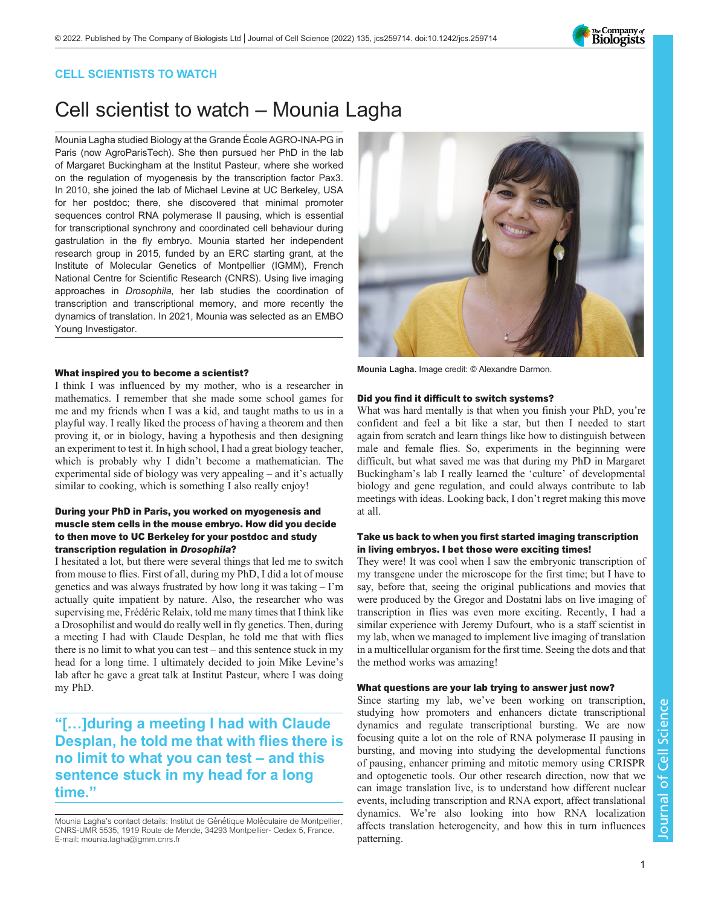

## CELL SCIENTISTS TO WATCH

# Cell scientist to watch – Mounia Lagha

Mounia Lagha studied Biology at the Grande École AGRO-INA-PG in Paris (now AgroParisTech). She then pursued her PhD in the lab of Margaret Buckingham at the Institut Pasteur, where she worked on the regulation of myogenesis by the transcription factor Pax3. In 2010, she joined the lab of Michael Levine at UC Berkeley, USA for her postdoc; there, she discovered that minimal promoter sequences control RNA polymerase II pausing, which is essential for transcriptional synchrony and coordinated cell behaviour during gastrulation in the fly embryo. Mounia started her independent research group in 2015, funded by an ERC starting grant, at the Institute of Molecular Genetics of Montpellier (IGMM), French National Centre for Scientific Research (CNRS). Using live imaging approaches in Drosophila, her lab studies the coordination of transcription and transcriptional memory, and more recently the dynamics of translation. In 2021, Mounia was selected as an EMBO Young Investigator.

#### What inspired you to become a scientist?

I think I was influenced by my mother, who is a researcher in mathematics. I remember that she made some school games for me and my friends when I was a kid, and taught maths to us in a playful way. I really liked the process of having a theorem and then proving it, or in biology, having a hypothesis and then designing an experiment to test it. In high school, I had a great biology teacher, which is probably why I didn't become a mathematician. The experimental side of biology was very appealing – and it's actually similar to cooking, which is something I also really enjoy!

#### During your PhD in Paris, you worked on myogenesis and muscle stem cells in the mouse embryo. How did you decide to then move to UC Berkeley for your postdoc and study transcription regulation in Drosophila?

I hesitated a lot, but there were several things that led me to switch from mouse to flies. First of all, during my PhD, I did a lot of mouse genetics and was always frustrated by how long it was taking – I'm actually quite impatient by nature. Also, the researcher who was supervising me, Frédéric Relaix, told me many times that I think like a Drosophilist and would do really well in fly genetics. Then, during a meeting I had with Claude Desplan, he told me that with flies there is no limit to what you can test – and this sentence stuck in my head for a long time. I ultimately decided to join Mike Levine's lab after he gave a great talk at Institut Pasteur, where I was doing my PhD.

"[…]during a meeting I had with Claude Desplan, he told me that with flies there is no limit to what you can test – and this sentence stuck in my head for a long time."

Mounia Lagha's contact details: Institut de Génétique Moléculaire de Montpellier, CNRS-UMR 5535, 1919 Route de Mende, 34293 Montpellier- Cedex 5, France. E-mail: [mounia.lagha@igmm.cnrs.fr](mailto:mounia.lagha@igmm.cnrs.fr)



Mounia Lagha. Image credit: © Alexandre Darmon.

#### Did you find it difficult to switch systems?

What was hard mentally is that when you finish your PhD, you're confident and feel a bit like a star, but then I needed to start again from scratch and learn things like how to distinguish between male and female flies. So, experiments in the beginning were difficult, but what saved me was that during my PhD in Margaret Buckingham's lab I really learned the 'culture' of developmental biology and gene regulation, and could always contribute to lab meetings with ideas. Looking back, I don't regret making this move at all.

#### Take us back to when you first started imaging transcription in living embryos. I bet those were exciting times!

They were! It was cool when I saw the embryonic transcription of my transgene under the microscope for the first time; but I have to say, before that, seeing the original publications and movies that were produced by the Gregor and Dostatni labs on live imaging of transcription in flies was even more exciting. Recently, I had a similar experience with Jeremy Dufourt, who is a staff scientist in my lab, when we managed to implement live imaging of translation in a multicellular organism for the first time. Seeing the dots and that the method works was amazing!

#### What questions are your lab trying to answer just now?

Since starting my lab, we've been working on transcription, studying how promoters and enhancers dictate transcriptional dynamics and regulate transcriptional bursting. We are now focusing quite a lot on the role of RNA polymerase II pausing in bursting, and moving into studying the developmental functions of pausing, enhancer priming and mitotic memory using CRISPR and optogenetic tools. Our other research direction, now that we can image translation live, is to understand how different nuclear events, including transcription and RNA export, affect translational dynamics. We're also looking into how RNA localization affects translation heterogeneity, and how this in turn influences patterning.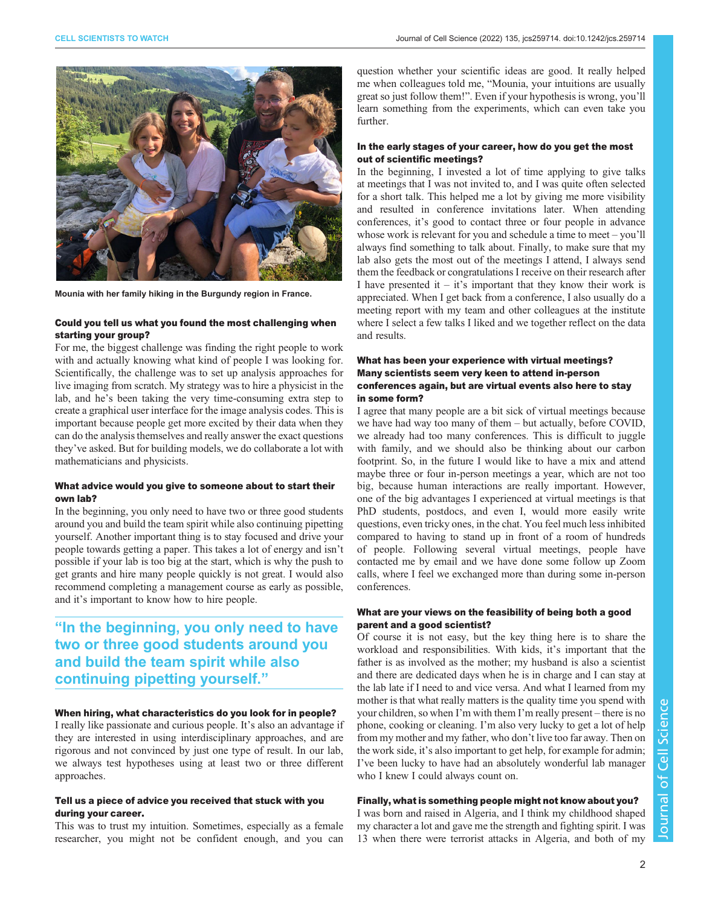

Mounia with her family hiking in the Burgundy region in France.

#### Could you tell us what you found the most challenging when starting your group?

For me, the biggest challenge was finding the right people to work with and actually knowing what kind of people I was looking for. Scientifically, the challenge was to set up analysis approaches for live imaging from scratch. My strategy was to hire a physicist in the lab, and he's been taking the very time-consuming extra step to create a graphical user interface for the image analysis codes. This is important because people get more excited by their data when they can do the analysis themselves and really answer the exact questions they've asked. But for building models, we do collaborate a lot with mathematicians and physicists.

#### What advice would you give to someone about to start their own lab?

In the beginning, you only need to have two or three good students around you and build the team spirit while also continuing pipetting yourself. Another important thing is to stay focused and drive your people towards getting a paper. This takes a lot of energy and isn't possible if your lab is too big at the start, which is why the push to get grants and hire many people quickly is not great. I would also recommend completing a management course as early as possible, and it's important to know how to hire people.

# "In the beginning, you only need to have two or three good students around you and build the team spirit while also continuing pipetting yourself."

#### When hiring, what characteristics do you look for in people?

I really like passionate and curious people. It's also an advantage if they are interested in using interdisciplinary approaches, and are rigorous and not convinced by just one type of result. In our lab, we always test hypotheses using at least two or three different approaches.

#### Tell us a piece of advice you received that stuck with you during your career.

This was to trust my intuition. Sometimes, especially as a female researcher, you might not be confident enough, and you can

question whether your scientific ideas are good. It really helped me when colleagues told me, "Mounia, your intuitions are usually great so just follow them!". Even if your hypothesis is wrong, you'll learn something from the experiments, which can even take you further.

#### In the early stages of your career, how do you get the most out of scientific meetings?

In the beginning, I invested a lot of time applying to give talks at meetings that I was not invited to, and I was quite often selected for a short talk. This helped me a lot by giving me more visibility and resulted in conference invitations later. When attending conferences, it's good to contact three or four people in advance whose work is relevant for you and schedule a time to meet – you'll always find something to talk about. Finally, to make sure that my lab also gets the most out of the meetings I attend, I always send them the feedback or congratulations I receive on their research after I have presented it – it's important that they know their work is appreciated. When I get back from a conference, I also usually do a meeting report with my team and other colleagues at the institute where I select a few talks I liked and we together reflect on the data and results.

#### What has been your experience with virtual meetings? Many scientists seem very keen to attend in-person conferences again, but are virtual events also here to stay in some form?

I agree that many people are a bit sick of virtual meetings because we have had way too many of them – but actually, before COVID, we already had too many conferences. This is difficult to juggle with family, and we should also be thinking about our carbon footprint. So, in the future I would like to have a mix and attend maybe three or four in-person meetings a year, which are not too big, because human interactions are really important. However, one of the big advantages I experienced at virtual meetings is that PhD students, postdocs, and even I, would more easily write questions, even tricky ones, in the chat. You feel much less inhibited compared to having to stand up in front of a room of hundreds of people. Following several virtual meetings, people have contacted me by email and we have done some follow up Zoom calls, where I feel we exchanged more than during some in-person conferences.

#### What are your views on the feasibility of being both a good parent and a good scientist?

Of course it is not easy, but the key thing here is to share the workload and responsibilities. With kids, it's important that the father is as involved as the mother; my husband is also a scientist and there are dedicated days when he is in charge and I can stay at the lab late if I need to and vice versa. And what I learned from my mother is that what really matters is the quality time you spend with your children, so when I'm with them I'm really present – there is no phone, cooking or cleaning. I'm also very lucky to get a lot of help from my mother and my father, who don't live too far away. Then on the work side, it's also important to get help, for example for admin; I've been lucky to have had an absolutely wonderful lab manager who I knew I could always count on.

### Finally, what is something people might not know about you?

I was born and raised in Algeria, and I think my childhood shaped my character a lot and gave me the strength and fighting spirit. I was 13 when there were terrorist attacks in Algeria, and both of my